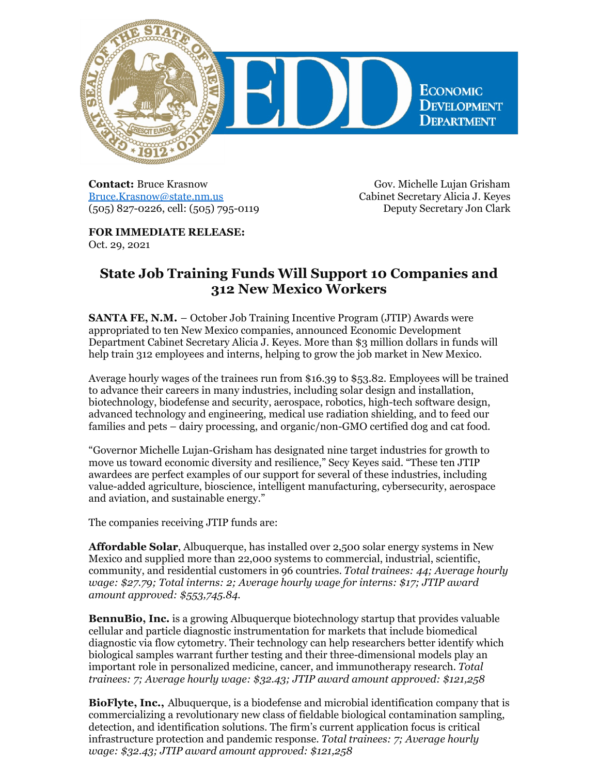

**Contact:** Bruce Krasnow [Bruce.Krasnow@state.nm.us](mailto:Bruce.Krasnow@state.nm.us) (505) 827-0226, cell: (505) 795-0119

Gov. Michelle Lujan Grisham Cabinet Secretary Alicia J. Keyes Deputy Secretary Jon Clark

**FOR IMMEDIATE RELEASE:** Oct. 29, 2021

## **State Job Training Funds Will Support 10 Companies and 312 New Mexico Workers**

**SANTA FE, N.M.** – October Job Training Incentive Program (JTIP) Awards were appropriated to ten New Mexico companies, announced Economic Development Department Cabinet Secretary Alicia J. Keyes. More than \$3 million dollars in funds will help train 312 employees and interns, helping to grow the job market in New Mexico.

Average hourly wages of the trainees run from \$16.39 to \$53.82. Employees will be trained to advance their careers in many industries, including solar design and installation, biotechnology, biodefense and security, aerospace, robotics, high-tech software design, advanced technology and engineering, medical use radiation shielding, and to feed our families and pets – dairy processing, and organic/non-GMO certified dog and cat food.

"Governor Michelle Lujan-Grisham has designated nine target industries for growth to move us toward economic diversity and resilience," Secy Keyes said. "These ten JTIP awardees are perfect examples of our support for several of these industries, including value-added agriculture, bioscience, intelligent manufacturing, cybersecurity, aerospace and aviation, and sustainable energy."

The companies receiving JTIP funds are:

**Affordable Solar**, Albuquerque, has installed over 2,500 solar energy systems in New Mexico and supplied more than 22,000 systems to commercial, industrial, scientific, community, and residential customers in 96 countries. *Total trainees: 44; Average hourly wage: \$27.79; Total interns: 2; Average hourly wage for interns: \$17; JTIP award amount approved: \$553,745.84.*

**BennuBio, Inc.** is a growing Albuquerque biotechnology startup that provides valuable cellular and particle diagnostic instrumentation for markets that include biomedical diagnostic via flow cytometry. Their technology can help researchers better identify which biological samples warrant further testing and their three-dimensional models play an important role in personalized medicine, cancer, and immunotherapy research. *Total trainees: 7; Average hourly wage: \$32.43; JTIP award amount approved: \$121,258*

**BioFlyte, Inc.,** Albuquerque, is a biodefense and microbial identification company that is commercializing a revolutionary new class of fieldable biological contamination sampling, detection, and identification solutions. The firm's current application focus is critical infrastructure protection and pandemic response. *Total trainees: 7; Average hourly wage: \$32.43; JTIP award amount approved: \$121,258*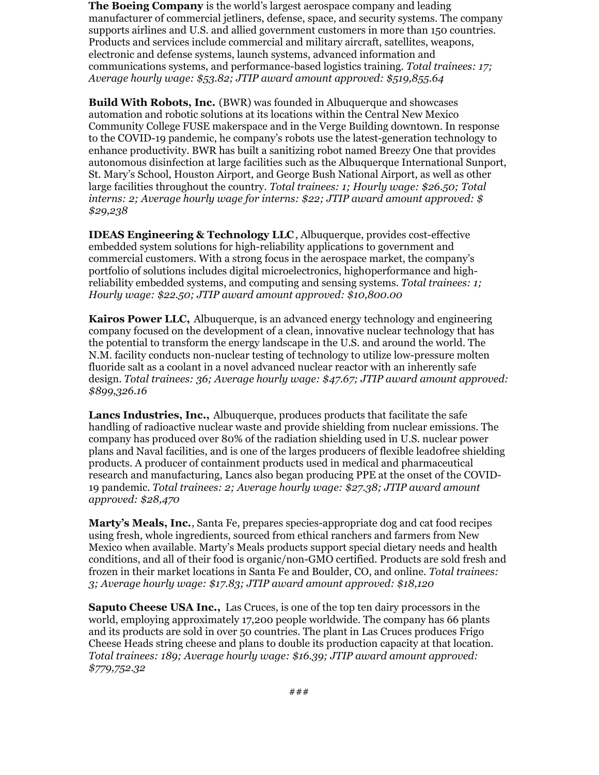**The Boeing Company** is the world's largest aerospace company and leading manufacturer of commercial jetliners, defense, space, and security systems. The company supports airlines and U.S. and allied government customers in more than 150 countries. Products and services include commercial and military aircraft, satellites, weapons, electronic and defense systems, launch systems, advanced information and communications systems, and performance-based logistics training. *Total trainees: 17; Average hourly wage: \$53.82; JTIP award amount approved: \$519,855.64*

**Build With Robots, Inc.** (BWR) was founded in Albuquerque and showcases automation and robotic solutions at its locations within the Central New Mexico Community College FUSE makerspace and in the Verge Building downtown. In response to the COVID-19 pandemic, he company's robots use the latest-generation technology to enhance productivity. BWR has built a sanitizing robot named Breezy One that provides autonomous disinfection at large facilities such as the Albuquerque International Sunport, St. Mary's School, Houston Airport, and George Bush National Airport, as well as other large facilities throughout the country. *Total trainees: 1; Hourly wage: \$26.50; Total interns: 2; Average hourly wage for interns: \$22; JTIP award amount approved: \$ \$29,238*

**IDEAS Engineering & Technology LLC**, Albuquerque, provides cost-effective embedded system solutions for high-reliability applications to government and commercial customers. With a strong focus in the aerospace market, the company's portfolio of solutions includes digital microelectronics, high0performance and highreliability embedded systems, and computing and sensing systems. *Total trainees: 1; Hourly wage: \$22.50; JTIP award amount approved: \$10,800.00*

**Kairos Power LLC,** Albuquerque, is an advanced energy technology and engineering company focused on the development of a clean, innovative nuclear technology that has the potential to transform the energy landscape in the U.S. and around the world. The N.M. facility conducts non-nuclear testing of technology to utilize low-pressure molten fluoride salt as a coolant in a novel advanced nuclear reactor with an inherently safe design. *Total trainees: 36; Average hourly wage: \$47.67; JTIP award amount approved: \$899,326.16*

**Lancs Industries, Inc.,** Albuquerque, produces products that facilitate the safe handling of radioactive nuclear waste and provide shielding from nuclear emissions. The company has produced over 80% of the radiation shielding used in U.S. nuclear power plans and Naval facilities, and is one of the larges producers of flexible lead0free shielding products. A producer of containment products used in medical and pharmaceutical research and manufacturing, Lancs also began producing PPE at the onset of the COVID-19 pandemic. *Total trainees: 2; Average hourly wage: \$27.38; JTIP award amount approved: \$28,470*

**Marty's Meals, Inc.**, Santa Fe, prepares species-appropriate dog and cat food recipes using fresh, whole ingredients, sourced from ethical ranchers and farmers from New Mexico when available. Marty's Meals products support special dietary needs and health conditions, and all of their food is organic/non-GMO certified. Products are sold fresh and frozen in their market locations in Santa Fe and Boulder, CO, and online. *Total trainees: 3; Average hourly wage: \$17.83; JTIP award amount approved: \$18,120*

**Saputo Cheese USA Inc.,** Las Cruces, is one of the top ten dairy processors in the world, employing approximately 17,200 people worldwide. The company has 66 plants and its products are sold in over 50 countries. The plant in Las Cruces produces Frigo Cheese Heads string cheese and plans to double its production capacity at that location. *Total trainees: 189; Average hourly wage: \$16.39; JTIP award amount approved: \$779,752.32*